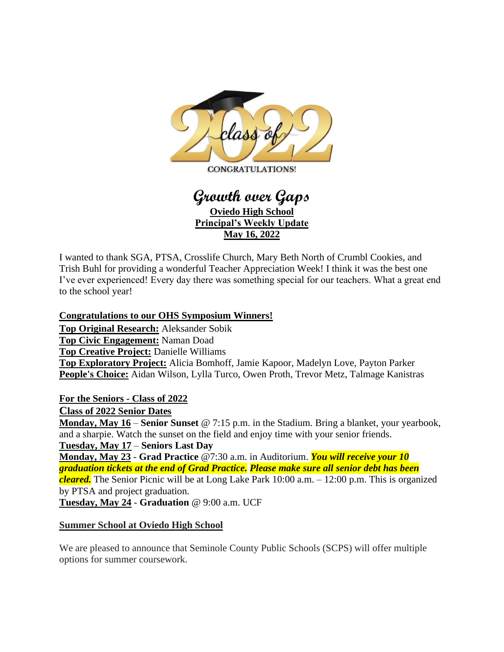

# **Growth over Gaps Oviedo High School Principal's Weekly Update May 16, 2022**

I wanted to thank SGA, PTSA, Crosslife Church, Mary Beth North of Crumbl Cookies, and Trish Buhl for providing a wonderful Teacher Appreciation Week! I think it was the best one I've ever experienced! Every day there was something special for our teachers. What a great end to the school year!

#### **Congratulations to our OHS Symposium Winners!**

**Top Original Research:** Aleksander Sobik **Top Civic Engagement:** Naman Doad **Top Creative Project:** Danielle Williams **Top Exploratory Project:** Alicia Bomhoff, Jamie Kapoor, Madelyn Love, Payton Parker **People's Choice:** Aidan Wilson, Lylla Turco, Owen Proth, Trevor Metz, Talmage Kanistras

**For the Seniors - Class of 2022** 

**Class of 2022 Senior Dates**

**Monday, May 16** – **Senior Sunset** @ 7:15 p.m. in the Stadium. Bring a blanket, your yearbook, and a sharpie. Watch the sunset on the field and enjoy time with your senior friends. **Tuesday, May 17** – **Seniors Last Day**

**Monday, May 23** - **Grad Practice** @7:30 a.m. in Auditorium. *You will receive your 10 graduation tickets at the end of Grad Practice. Please make sure all senior debt has been cleared.* The Senior Picnic will be at Long Lake Park 10:00 a.m. – 12:00 p.m. This is organized by PTSA and project graduation.

**Tuesday, May 24** - **Graduation** @ 9:00 a.m. UCF

# **Summer School at Oviedo High School**

We are pleased to announce that Seminole County Public Schools (SCPS) will offer multiple options for summer coursework.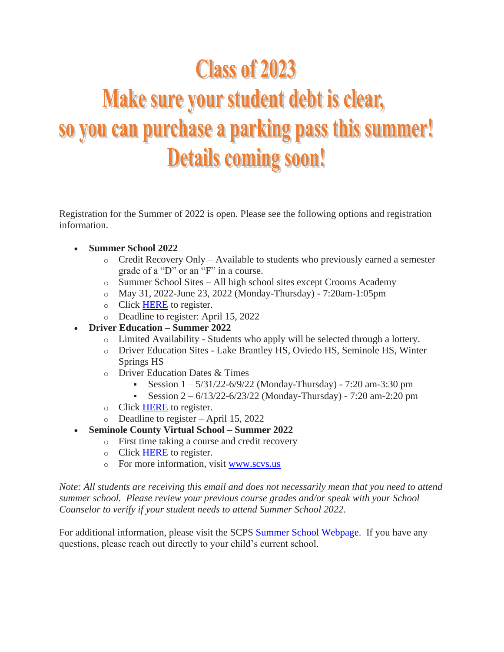# **Class of 2023**

# Make sure your student debt is clear, so you can purchase a parking pass this summer! **Details coming soon!**

Registration for the Summer of 2022 is open. Please see the following options and registration information.

- **Summer School 2022**
	- $\circ$  Credit Recovery Only Available to students who previously earned a semester grade of a "D" or an "F" in a course.
	- o Summer School Sites All high school sites except Crooms Academy
	- o May 31, 2022-June 23, 2022 (Monday-Thursday) 7:20am-1:05pm
	- o Click [HERE](https://nam10.safelinks.protection.outlook.com/?url=http%3A%2F%2Ftrack.spe.schoolmessenger.com%2Ff%2Fa%2FZuZYH_T8mdUqqAbvhIJk3Q~~%2FAAAAAQA~%2FRgRj_3DOP4SUAWh0dHBzOi8vbmFtMTAuc2FmZWxpbmtzLnByb3RlY3Rpb24ub3V0bG9vay5jb20vP3VybD1odHRwcyUzQSUyRiUyRnRpbnl1cmwuY29tJTJGNG1raDJuYW4mZGF0YT0wNCU3QzAxJTdDbWljaGFlbF9sYXdyZW5jZSU0MHNjcHMuazEyLmZsLnVzJTdDNTA5Yjk1ZDdmODdhNDY5YTBjMDUwOGQ5ZmI5MmUwMjclN0NkMWU5ZTZiMjc3OGU0OGU1YTk2MWU5ODM2YWYwODgyNyU3QzAlN0MwJTdDNjM3ODE3NDMwNTIzNzY2ODg3JTdDVW5rbm93biU3Q1RXRnBiR1pzYjNkOGV5SldJam9pTUM0d0xqQXdNREFpTENKUUlqb2lWMmx1TXpJaUxDSkJUaUk2SWsxaGFXd2lMQ0pYVkNJNk1uMCUzRCU3QzMwMDAmc2RhdGE9c3VZRGxKdHEwWGZGcXlzJTJCejMyYmdNRUNOVlYlMkZIUUtEenhuaSUyQktWeTI2SSUzRCZyZXNlcnZlZD0wVwdzY2hvb2xtQgpiHE49HmLv-QvCUht0cmVudF9kYW5pZWxAc2Nwcy5rMTIuZmwudXNYBAAAAAE~&data=04%7C01%7Ctrent_daniel%40scps.k12.fl.us%7Ca2577c4c93a546d3778408d9fb9925e7%7Cd1e9e6b2778e48e5a961e9836af08827%7C0%7C0%7C637817457453808611%7CUnknown%7CTWFpbGZsb3d8eyJWIjoiMC4wLjAwMDAiLCJQIjoiV2luMzIiLCJBTiI6Ik1haWwiLCJXVCI6Mn0%3D%7C3000&sdata=ZetCqzk43%2FBrAN%2F0jAH3ZugbA5RprnDnf8DlUMVep6s%3D&reserved=0) to register.
	- o Deadline to register: April 15, 2022
- **Driver Education – Summer 2022**
	- o Limited Availability Students who apply will be selected through a lottery.
	- o Driver Education Sites Lake Brantley HS, Oviedo HS, Seminole HS, Winter Springs HS
	- o Driver Education Dates & Times
		- Session 1 5/31/22-6/9/22 (Monday-Thursday) 7:20 am-3:30 pm
		- **•** Session  $2 6/13/22 6/23/22$  (Monday-Thursday) 7:20 am-2:20 pm
	- o Click [HERE](https://nam10.safelinks.protection.outlook.com/?url=http%3A%2F%2Ftrack.spe.schoolmessenger.com%2Ff%2Fa%2FZuZYH_T8mdUqqAbvhIJk3Q~~%2FAAAAAQA~%2FRgRj_3DOP4SUAWh0dHBzOi8vbmFtMTAuc2FmZWxpbmtzLnByb3RlY3Rpb24ub3V0bG9vay5jb20vP3VybD1odHRwcyUzQSUyRiUyRnRpbnl1cmwuY29tJTJGNG1raDJuYW4mZGF0YT0wNCU3QzAxJTdDbWljaGFlbF9sYXdyZW5jZSU0MHNjcHMuazEyLmZsLnVzJTdDNTA5Yjk1ZDdmODdhNDY5YTBjMDUwOGQ5ZmI5MmUwMjclN0NkMWU5ZTZiMjc3OGU0OGU1YTk2MWU5ODM2YWYwODgyNyU3QzAlN0MwJTdDNjM3ODE3NDMwNTIzNzY2ODg3JTdDVW5rbm93biU3Q1RXRnBiR1pzYjNkOGV5SldJam9pTUM0d0xqQXdNREFpTENKUUlqb2lWMmx1TXpJaUxDSkJUaUk2SWsxaGFXd2lMQ0pYVkNJNk1uMCUzRCU3QzMwMDAmc2RhdGE9c3VZRGxKdHEwWGZGcXlzJTJCejMyYmdNRUNOVlYlMkZIUUtEenhuaSUyQktWeTI2SSUzRCZyZXNlcnZlZD0wVwdzY2hvb2xtQgpiHE49HmLv-QvCUht0cmVudF9kYW5pZWxAc2Nwcy5rMTIuZmwudXNYBAAAAAE~&data=04%7C01%7Ctrent_daniel%40scps.k12.fl.us%7Ca2577c4c93a546d3778408d9fb9925e7%7Cd1e9e6b2778e48e5a961e9836af08827%7C0%7C0%7C637817457453808611%7CUnknown%7CTWFpbGZsb3d8eyJWIjoiMC4wLjAwMDAiLCJQIjoiV2luMzIiLCJBTiI6Ik1haWwiLCJXVCI6Mn0%3D%7C3000&sdata=ZetCqzk43%2FBrAN%2F0jAH3ZugbA5RprnDnf8DlUMVep6s%3D&reserved=0) to register.
	- o Deadline to register April 15, 2022
- **Seminole County Virtual School – Summer 2022**
	- o First time taking a course and credit recovery
	- o Click [HERE](https://nam10.safelinks.protection.outlook.com/?url=http%3A%2F%2Ftrack.spe.schoolmessenger.com%2Ff%2Fa%2F0m0t0SfPNwjIiwgF0zyChQ~~%2FAAAAAQA~%2FRgRj_3DOP0RbaHR0cHM6Ly92aXJ0dWFsc2Nob29sLnNjcHMuazEyLmZsLnVzL2Fubm91bmNlbWVudHMvc2N2cy1zdW1tZXItMjAyMi1zdHVkZW50LWVucm9sbG1lbnQuc3RtbFcHc2Nob29sbUIKYhxOPR5i7_kLwlIbdHJlbnRfZGFuaWVsQHNjcHMuazEyLmZsLnVzWAQAAAAB&data=04%7C01%7Ctrent_daniel%40scps.k12.fl.us%7Ca2577c4c93a546d3778408d9fb9925e7%7Cd1e9e6b2778e48e5a961e9836af08827%7C0%7C0%7C637817457453808611%7CUnknown%7CTWFpbGZsb3d8eyJWIjoiMC4wLjAwMDAiLCJQIjoiV2luMzIiLCJBTiI6Ik1haWwiLCJXVCI6Mn0%3D%7C3000&sdata=WaLnDPGxiE%2FOCaLkh6W4xTWSS8uJtSG3pLqSb%2BfxDPk%3D&reserved=0) to register.
	- o For more information, visit [www.scvs.us](https://nam10.safelinks.protection.outlook.com/?url=http%3A%2F%2Ftrack.spe.schoolmessenger.com%2Ff%2Fa%2F7MxcG07Dh61QuOy8jp5hHw~~%2FAAAAAQA~%2FRgRj_3DOP4SLAWh0dHBzOi8vbmFtMTAuc2FmZWxpbmtzLnByb3RlY3Rpb24ub3V0bG9vay5jb20vP3VybD1odHRwJTNBJTJGJTJGd3d3LnNjdnMudXMlMkYmZGF0YT0wNCU3QzAxJTdDbWljaGFlbF9sYXdyZW5jZSU0MHNjcHMuazEyLmZsLnVzJTdDNTA5Yjk1ZDdmODdhNDY5YTBjMDUwOGQ5ZmI5MmUwMjclN0NkMWU5ZTZiMjc3OGU0OGU1YTk2MWU5ODM2YWYwODgyNyU3QzAlN0MwJTdDNjM3ODE3NDMwNTIzOTIzMTI5JTdDVW5rbm93biU3Q1RXRnBiR1pzYjNkOGV5SldJam9pTUM0d0xqQXdNREFpTENKUUlqb2lWMmx1TXpJaUxDSkJUaUk2SWsxaGFXd2lMQ0pYVkNJNk1uMCUzRCU3QzMwMDAmc2RhdGE9RXh6S2labmVTS3NUU2hpc2o4bWlXWiUyRk9WZ24yJTJGdEV5WlpPWFphZ0olMkZqUSUzRCZyZXNlcnZlZD0wVwdzY2hvb2xtQgpiHE49HmLv-QvCUht0cmVudF9kYW5pZWxAc2Nwcy5rMTIuZmwudXNYBAAAAAE~&data=04%7C01%7Ctrent_daniel%40scps.k12.fl.us%7Ca2577c4c93a546d3778408d9fb9925e7%7Cd1e9e6b2778e48e5a961e9836af08827%7C0%7C0%7C637817457453808611%7CUnknown%7CTWFpbGZsb3d8eyJWIjoiMC4wLjAwMDAiLCJQIjoiV2luMzIiLCJBTiI6Ik1haWwiLCJXVCI6Mn0%3D%7C3000&sdata=3WiT4juE%2Fjp4HSF9Xor6CY4FPKHnNSy3HLhds5SXogQ%3D&reserved=0)

*Note: All students are receiving this email and does not necessarily mean that you need to attend summer school. Please review your previous course grades and/or speak with your School Counselor to verify if your student needs to attend Summer School 2022.*

For additional information, please visit the SCPS Summer School [Webpage.](https://nam10.safelinks.protection.outlook.com/?url=http%3A%2F%2Ftrack.spe.schoolmessenger.com%2Ff%2Fa%2F73aUbreUTgWxXmlA9zysng~~%2FAAAAAQA~%2FRgRj_3DOP0Q1aHR0cHM6Ly93d3cuc2Nwcy5rMTIuZmwudXMvc2Nob29scy9zdW1tZXItc2Nob29sLnN0bWxXB3NjaG9vbG1CCmIcTj0eYu_5C8JSG3RyZW50X2RhbmllbEBzY3BzLmsxMi5mbC51c1gEAAAAAQ~~&data=04%7C01%7Ctrent_daniel%40scps.k12.fl.us%7Ca2577c4c93a546d3778408d9fb9925e7%7Cd1e9e6b2778e48e5a961e9836af08827%7C0%7C0%7C637817457453808611%7CUnknown%7CTWFpbGZsb3d8eyJWIjoiMC4wLjAwMDAiLCJQIjoiV2luMzIiLCJBTiI6Ik1haWwiLCJXVCI6Mn0%3D%7C3000&sdata=4kEL%2FkHUVlkbYbT7jadBYgX8aCaFRDvySWAQIiGoXiY%3D&reserved=0) If you have any questions, please reach out directly to your child's current school.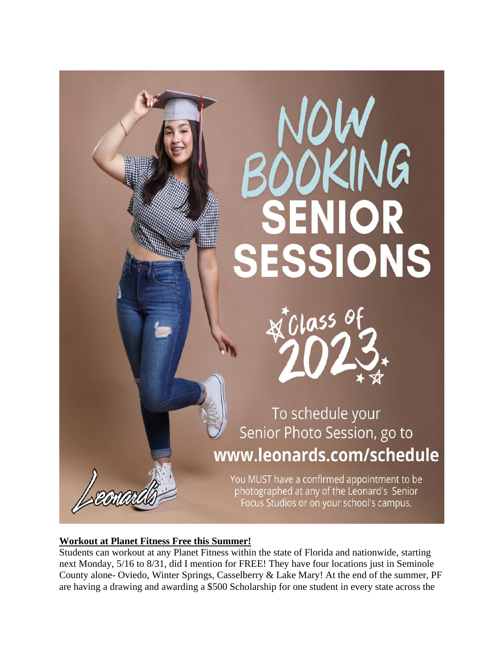

#### **Workout at Planet Fitness Free this Summer!**

Students can workout at any Planet Fitness within the state of Florida and nationwide, starting next Monday, 5/16 to 8/31, did I mention for FREE! They have four locations just in Seminole County alone- Oviedo, Winter Springs, Casselberry & Lake Mary! At the end of the summer, PF are having a drawing and awarding a \$500 Scholarship for one student in every state across the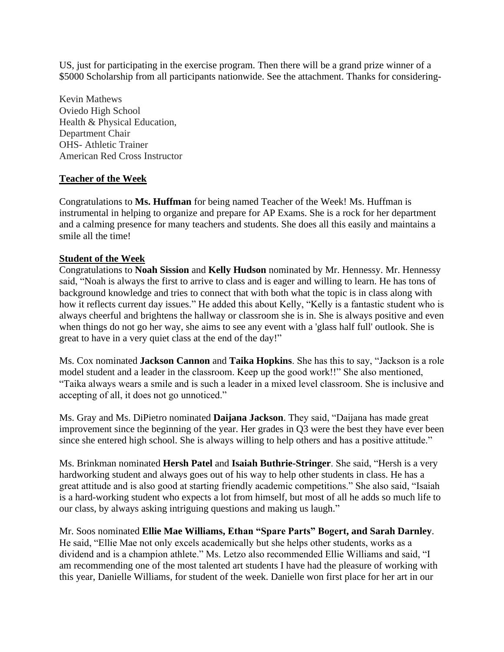US, just for participating in the exercise program. Then there will be a grand prize winner of a \$5000 Scholarship from all participants nationwide. See the attachment. Thanks for considering-

Kevin Mathews Oviedo High School Health & Physical Education, Department Chair OHS- Athletic Trainer American Red Cross Instructor

#### **Teacher of the Week**

Congratulations to **Ms. Huffman** for being named Teacher of the Week! Ms. Huffman is instrumental in helping to organize and prepare for AP Exams. She is a rock for her department and a calming presence for many teachers and students. She does all this easily and maintains a smile all the time!

#### **Student of the Week**

Congratulations to **Noah Sission** and **Kelly Hudson** nominated by Mr. Hennessy. Mr. Hennessy said, "Noah is always the first to arrive to class and is eager and willing to learn. He has tons of background knowledge and tries to connect that with both what the topic is in class along with how it reflects current day issues." He added this about Kelly, "Kelly is a fantastic student who is always cheerful and brightens the hallway or classroom she is in. She is always positive and even when things do not go her way, she aims to see any event with a 'glass half full' outlook. She is great to have in a very quiet class at the end of the day!"

Ms. Cox nominated **Jackson Cannon** and **Taika Hopkins**. She has this to say, "Jackson is a role model student and a leader in the classroom. Keep up the good work!!" She also mentioned, "Taika always wears a smile and is such a leader in a mixed level classroom. She is inclusive and accepting of all, it does not go unnoticed."

Ms. Gray and Ms. DiPietro nominated **Daijana Jackson**. They said, "Daijana has made great improvement since the beginning of the year. Her grades in Q3 were the best they have ever been since she entered high school. She is always willing to help others and has a positive attitude."

Ms. Brinkman nominated **Hersh Patel** and **Isaiah Buthrie-Stringer**. She said, "Hersh is a very hardworking student and always goes out of his way to help other students in class. He has a great attitude and is also good at starting friendly academic competitions." She also said, "Isaiah is a hard-working student who expects a lot from himself, but most of all he adds so much life to our class, by always asking intriguing questions and making us laugh."

Mr. Soos nominated **Ellie Mae Williams, Ethan "Spare Parts" Bogert, and Sarah Darnley**. He said, "Ellie Mae not only excels academically but she helps other students, works as a dividend and is a champion athlete." Ms. Letzo also recommended Ellie Williams and said, "I am recommending one of the most talented art students I have had the pleasure of working with this year, Danielle Williams, for student of the week. Danielle won first place for her art in our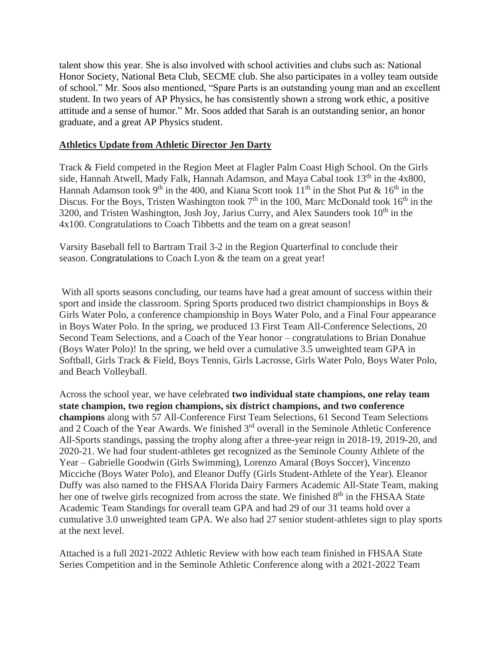talent show this year. She is also involved with school activities and clubs such as: National Honor Society, National Beta Club, SECME club. She also participates in a volley team outside of school." Mr. Soos also mentioned, "Spare Parts is an outstanding young man and an excellent student. In two years of AP Physics, he has consistently shown a strong work ethic, a positive attitude and a sense of humor." Mr. Soos added that Sarah is an outstanding senior, an honor graduate, and a great AP Physics student.

#### **Athletics Update from Athletic Director Jen Darty**

Track & Field competed in the Region Meet at Flagler Palm Coast High School. On the Girls side, Hannah Atwell, Mady Falk, Hannah Adamson, and Maya Cabal took  $13<sup>th</sup>$  in the 4x800, Hannah Adamson took 9<sup>th</sup> in the 400, and Kiana Scott took  $11<sup>th</sup>$  in the Shot Put &  $16<sup>th</sup>$  in the Discus. For the Boys, Tristen Washington took  $7<sup>th</sup>$  in the 100, Marc McDonald took  $16<sup>th</sup>$  in the 3200, and Tristen Washington, Josh Joy, Jarius Curry, and Alex Saunders took  $10<sup>th</sup>$  in the 4x100. Congratulations to Coach Tibbetts and the team on a great season!

Varsity Baseball fell to Bartram Trail 3-2 in the Region Quarterfinal to conclude their season. Congratulations to Coach Lyon & the team on a great year!

With all sports seasons concluding, our teams have had a great amount of success within their sport and inside the classroom. Spring Sports produced two district championships in Boys & Girls Water Polo, a conference championship in Boys Water Polo, and a Final Four appearance in Boys Water Polo. In the spring, we produced 13 First Team All-Conference Selections, 20 Second Team Selections, and a Coach of the Year honor – congratulations to Brian Donahue (Boys Water Polo)! In the spring, we held over a cumulative 3.5 unweighted team GPA in Softball, Girls Track & Field, Boys Tennis, Girls Lacrosse, Girls Water Polo, Boys Water Polo, and Beach Volleyball.

Across the school year, we have celebrated **two individual state champions, one relay team state champion, two region champions, six district champions, and two conference champions** along with 57 All-Conference First Team Selections, 61 Second Team Selections and 2 Coach of the Year Awards. We finished 3rd overall in the Seminole Athletic Conference All-Sports standings, passing the trophy along after a three-year reign in 2018-19, 2019-20, and 2020-21. We had four student-athletes get recognized as the Seminole County Athlete of the Year – Gabrielle Goodwin (Girls Swimming), Lorenzo Amaral (Boys Soccer), Vincenzo Micciche (Boys Water Polo), and Eleanor Duffy (Girls Student-Athlete of the Year). Eleanor Duffy was also named to the FHSAA Florida Dairy Farmers Academic All-State Team, making her one of twelve girls recognized from across the state. We finished 8<sup>th</sup> in the FHSAA State Academic Team Standings for overall team GPA and had 29 of our 31 teams hold over a cumulative 3.0 unweighted team GPA. We also had 27 senior student-athletes sign to play sports at the next level.

Attached is a full 2021-2022 Athletic Review with how each team finished in FHSAA State Series Competition and in the Seminole Athletic Conference along with a 2021-2022 Team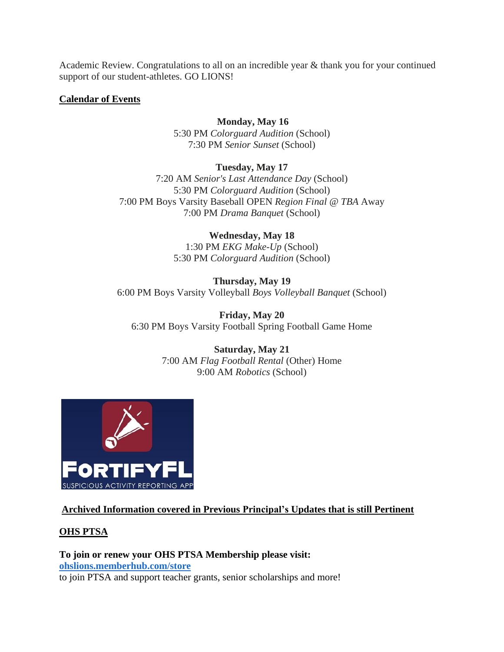Academic Review. Congratulations to all on an incredible year & thank you for your continued support of our student-athletes. GO LIONS!

#### **Calendar of Events**

#### **Monday, May 16**

5:30 PM *Colorguard Audition* (School) 7:30 PM *Senior Sunset* (School)

**Tuesday, May 17**

7:20 AM *Senior's Last Attendance Day* (School) 5:30 PM *Colorguard Audition* (School) 7:00 PM Boys Varsity Baseball OPEN *Region Final @ TBA* Away 7:00 PM *Drama Banquet* (School)

> **Wednesday, May 18** 1:30 PM *EKG Make-Up* (School) 5:30 PM *Colorguard Audition* (School)

**Thursday, May 19** 6:00 PM Boys Varsity Volleyball *Boys Volleyball Banquet* (School)

**Friday, May 20** 6:30 PM Boys Varsity Football Spring Football Game Home

> **Saturday, May 21** 7:00 AM *Flag Football Rental* (Other) Home 9:00 AM *Robotics* (School)



# **Archived Information covered in Previous Principal's Updates that is still Pertinent**

#### **OHS PTSA**

**To join or renew your OHS PTSA Membership please visit: [ohslions.memberhub.com/store](https://nam10.safelinks.protection.outlook.com/?url=https%3A%2F%2Fohslions.memberhub.com%2Fstore&data=04%7C01%7Ctrent_daniel%40scps.k12.fl.us%7C2529cbbbb83b43758ff708d95b624694%7Cd1e9e6b2778e48e5a961e9836af08827%7C0%7C0%7C637641300952130491%7CUnknown%7CTWFpbGZsb3d8eyJWIjoiMC4wLjAwMDAiLCJQIjoiV2luMzIiLCJBTiI6Ik1haWwiLCJXVCI6Mn0%3D%7C1000&sdata=RKgtWcBGYrZBcuYAsxgZSynefC5mQf3lFM03bmsKZHc%3D&reserved=0)** to join PTSA and support teacher grants, senior scholarships and more!